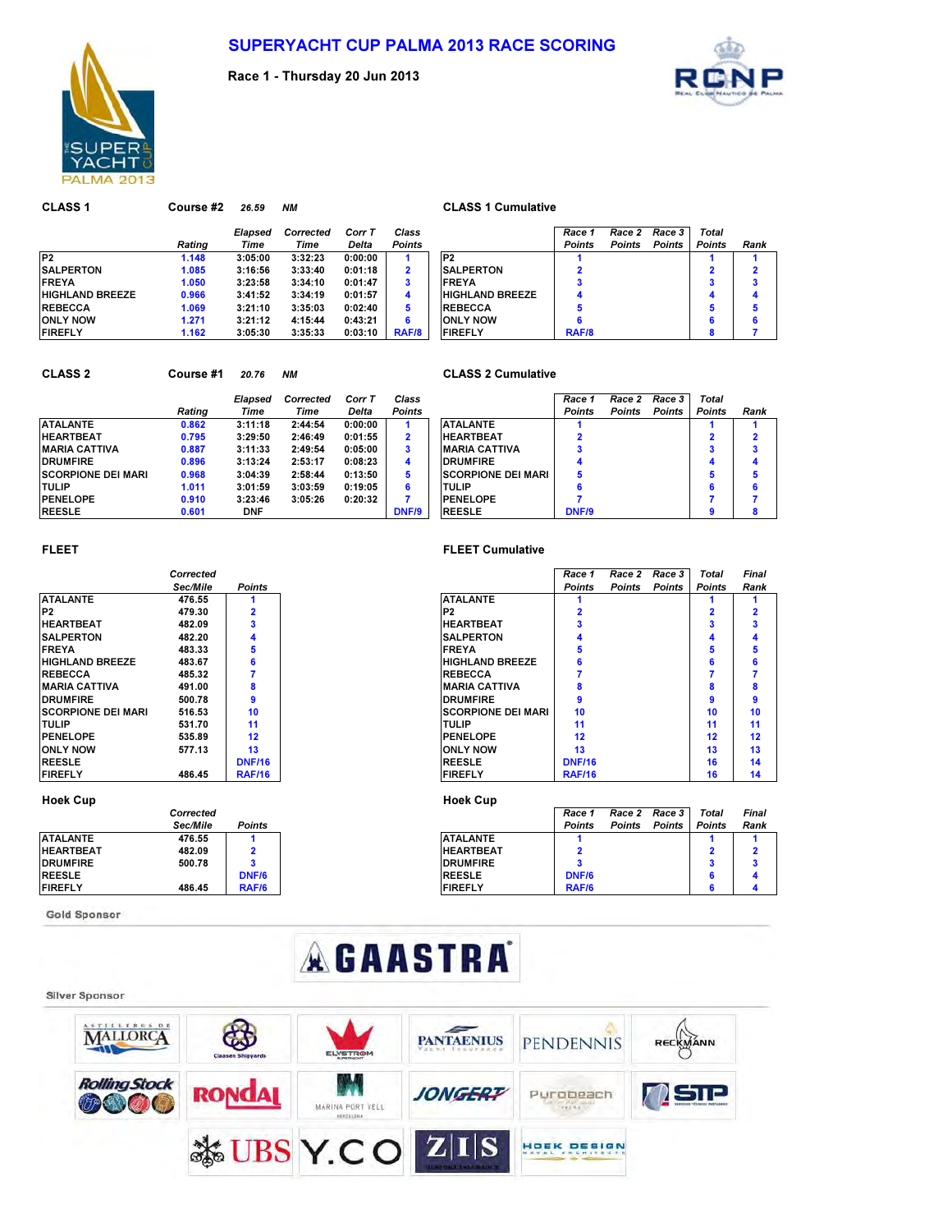

Race 1 - Thursday 20 Jun 2013



CLASS 1 Course #2 26.59 NM CLASS 1 Cumulative Elapsed Corrected Corr T Class Race 1 Race 2 Race 3 Total Rating Time Time Delta Points Points Points Points Points Rank P2 1.148 3:05:00 3:32:23 0:00:00 1 P2 1 1 1 1 1 SALPERTON 1.085 3:16:56 3:33:40 0:01:18 2 2 2 FREYA 1.050 3:23:58 3:34:10 0:01:47 3 FREYA 3 3 3 HIGHLAND BREEZE 0.966 3:41:52 3:34:19 0:01:57 4 HIGHLAND BREEZE 4 4 4 4 REBECCA 1.069 3:21:10 3:35:03 0:02:40 5 REBECCA 5 5 5 ONLY NOW 1.271 3:21:12 4:15:44 0:43:21 6 6 6 6 FIREFLY 1.162 3:05:30 3:35:33 0:03:10 RAF/8 | FIREFLY RAF/8 8 7

### CLASS 2 Course #1 20.76 NM CLASS 2 Cumulative

|                            |        | Elapsed    | Corrected | Corr T  | Class         |                            | Race 1        | Race 2        | Race 3        | Total         |     |
|----------------------------|--------|------------|-----------|---------|---------------|----------------------------|---------------|---------------|---------------|---------------|-----|
|                            | Rating | Time       | Time      | Delta   | <b>Points</b> |                            | <b>Points</b> | <b>Points</b> | <b>Points</b> | <b>Points</b> | Rai |
| <b>ATALANTE</b>            | 0.862  | 3:11:18    | 2:44:54   | 0:00:00 |               | <b>ATALANTE</b>            |               |               |               |               |     |
| <b>HEARTBEAT</b>           | 0.795  | 3:29:50    | 2:46:49   | 0:01:55 | 2             | <b>IHEARTBEAT</b>          |               |               |               |               |     |
| <b>MARIA CATTIVA</b>       | 0.887  | 3:11:33    | 2:49:54   | 0:05:00 | з             | <b>IMARIA CATTIVA</b>      |               |               |               |               |     |
| <b>DRUMFIRE</b>            | 0.896  | 3:13:24    | 2:53:17   | 0:08:23 | 4             | <b>IDRUMFIRE</b>           |               |               |               |               |     |
| <b>ISCORPIONE DEI MARI</b> | 0.968  | 3:04:39    | 2:58:44   | 0:13:50 | 5             | <b>ISCORPIONE DEI MARI</b> | 5             |               |               |               |     |
| <b>ITULIP</b>              | 1.011  | 3:01:59    | 3:03:59   | 0:19:05 | 6             | <b>ITULIP</b>              |               |               |               | 6             |     |
| <b>PENELOPE</b>            | 0.910  | 3:23:46    | 3:05:26   | 0:20:32 |               | <b>PENELOPE</b>            |               |               |               |               |     |
| <b>REESLE</b>              | 0.601  | <b>DNF</b> |           |         | DNF/9         | <b>REESLE</b>              | <b>DNF/9</b>  |               |               | o             |     |

|        | Elapsed    | Corrected | Corr T  | Class         |                           | Race 1        | Race 2        | Race 3        | Total         |      |
|--------|------------|-----------|---------|---------------|---------------------------|---------------|---------------|---------------|---------------|------|
| Ratina | Time       | Time      | Delta   | <b>Points</b> |                           | <b>Points</b> | <b>Points</b> | <b>Points</b> | <b>Points</b> | Rank |
| 0.862  | 3:11:18    | 2:44:54   | 0:00:00 |               | <b>ATALANTE</b>           |               |               |               |               |      |
| 0.795  | 3:29:50    | 2:46:49   | 0:01:55 | $\mathbf{2}$  | <b>HEARTBEAT</b>          |               |               |               |               | 2    |
| 0.887  | 3:11:33    | 2:49:54   | 0:05:00 | 3             | <b>MARIA CATTIVA</b>      |               |               |               | з             | 3    |
| 0.896  | 3:13:24    | 2:53:17   | 0:08:23 | 4             | <b>DRUMFIRE</b>           |               |               |               | 4             |      |
| 0.968  | 3:04:39    | 2:58:44   | 0:13:50 | 5             | <b>SCORPIONE DEI MARI</b> |               |               |               | 5             | 5    |
| 1.011  | 3:01:59    | 3:03:59   | 0:19:05 | 6             | <b>TULIP</b>              |               |               |               | 6             | 6    |
| 0.910  | 3:23:46    | 3:05:26   | 0:20:32 |               | <b>PENELOPE</b>           |               |               |               |               |      |
| 0.601  | <b>DNF</b> |           |         | DNF/9         | <b>REESLE</b>             | <b>DNF/9</b>  |               |               |               |      |

|                           | Corrected       |                |
|---------------------------|-----------------|----------------|
|                           | <b>Sec/Mile</b> | <b>Points</b>  |
| <b>ATALANTE</b>           | 476.55          | 1              |
| P2                        | 479.30          | $\overline{2}$ |
| <b>HEARTBEAT</b>          | 482.09          | 3              |
| <b>SALPERTON</b>          | 482.20          | 4              |
| <b>FREYA</b>              | 483.33          | 5              |
| <b>HIGHLAND BREEZE</b>    | 483.67          | 6              |
| <b>REBECCA</b>            | 485.32          | 7              |
| <b>MARIA CATTIVA</b>      | 491.00          | 8              |
| <b>DRUMFIRE</b>           | 500.78          | 9              |
| <b>SCORPIONE DEI MARI</b> | 516.53          | 10             |
| <b>TULIP</b>              | 531.70          | 11             |
| <b>PENELOPE</b>           | 535.89          | 12             |
| <b>ONLY NOW</b>           | 577.13          | 13             |
| <b>REESLE</b>             |                 | <b>DNF/16</b>  |
| <b>FIREFLY</b>            | 486.45          | <b>RAF/16</b>  |

|                  | Corrected       |               |  |
|------------------|-----------------|---------------|--|
|                  | <b>Sec/Mile</b> | <b>Points</b> |  |
| <b>ATALANTE</b>  | 476.55          |               |  |
| <b>HEARTBEAT</b> | 482.09          | 2             |  |
| <b>DRUMFIRE</b>  | 500.78          | 3             |  |
| <b>REESLE</b>    |                 | DNF/6         |  |
| <b>FIREFLY</b>   | 486.45          | RAF/6         |  |

**Gold Sponsor** 

### FLEET FLEET Cumulative

|                           | Corrected |               |                           | Race 1        | Race 2 | Race 3 | <b>Total</b>  | Final |
|---------------------------|-----------|---------------|---------------------------|---------------|--------|--------|---------------|-------|
|                           | Sec/Mile  | <b>Points</b> |                           | <b>Points</b> | Points | Points | <b>Points</b> | Rank  |
| <b>ATALANTE</b>           | 476.55    |               | <b>ATALANTE</b>           |               |        |        |               |       |
| P2                        | 479.30    |               | P <sub>2</sub>            |               |        |        |               |       |
| HEARTBEAT                 | 482.09    |               | <b>HEARTBEAT</b>          |               |        |        |               |       |
| <b>SALPERTON</b>          | 482.20    |               | <b>SALPERTON</b>          |               |        |        |               |       |
| <b>FREYA</b>              | 483.33    |               | <b>FREYA</b>              |               |        |        |               |       |
| <b>HIGHLAND BREEZE</b>    | 483.67    |               | <b>HIGHLAND BREEZE</b>    |               |        |        |               |       |
| <b>REBECCA</b>            | 485.32    |               | <b>REBECCA</b>            |               |        |        |               |       |
| MARIA CATTIVA             | 491.00    |               | <b>IMARIA CATTIVA</b>     |               |        |        |               |       |
| <b>DRUMFIRE</b>           | 500.78    |               | <b>DRUMFIRE</b>           |               |        |        |               | 9     |
| <b>SCORPIONE DEI MARI</b> | 516.53    | 10            | <b>SCORPIONE DEI MARI</b> | 10            |        |        | 10            | 10    |
| tulip                     | 531.70    | 11            | <b>TULIP</b>              | 11            |        |        | 11            | 11    |
| <b>PENELOPE</b>           | 535.89    | 12            | PENELOPE                  | 12            |        |        | 12            | 12    |
| ONLY NOW                  | 577.13    | 13            | <b>ONLY NOW</b>           | 13            |        |        | 13            | 13    |
| <b>REESLE</b>             |           | <b>DNF/16</b> | <b>REESLE</b>             | <b>DNF/16</b> |        |        | 16            | 14    |
| <b>FIREFLY</b>            | 486.45    | <b>RAF/16</b> | <b>FIREFLY</b>            | <b>RAF/16</b> |        |        | 16            | 14    |

### Hoek Cup **Hoek Cup Hoek Cup**

|                 | Corrected |               |                  | Race 1        | Race 2        | Race 3        | Total         | Final |
|-----------------|-----------|---------------|------------------|---------------|---------------|---------------|---------------|-------|
|                 | Sec/Mile  | <b>Points</b> |                  | <b>Points</b> | <b>Points</b> | <b>Points</b> | <b>Points</b> | Rank  |
| ATALANTE        | 476.55    |               | <b>ATALANTE</b>  |               |               |               |               |       |
| HEARTBEAT       | 482.09    |               | <b>HEARTBEAT</b> |               |               |               |               |       |
| <b>DRUMFIRE</b> | 500.78    |               | <b>DRUMFIRE</b>  |               |               |               |               |       |
| <b>REESLE</b>   |           | <b>DNF/6</b>  | <b>REESLE</b>    | <b>DNF/6</b>  |               |               |               |       |
| <b>FIREFLY</b>  | 486.45    | RAF/6         | <b>FIREFLY</b>   | RAF/6         |               |               |               |       |

# **AGAASTRA**

### Silver Sponsor

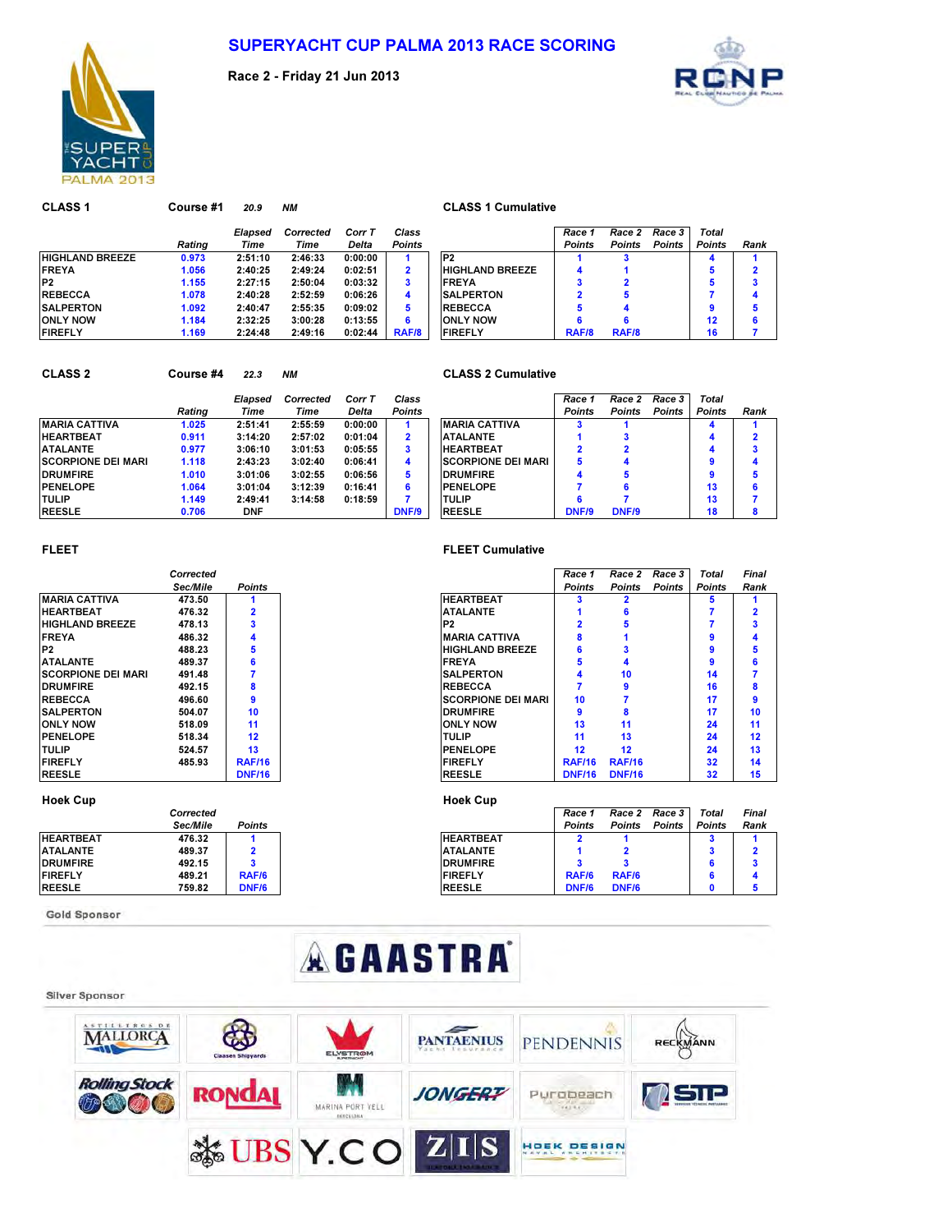

Race 2 - Friday 21 Jun 2013



| <b>CLASS 1</b>         | Course #1 | 20.9    | <b>NM</b> |         |                         | <b>CLASS 1 Cumulative</b> |               |               |               |               |     |
|------------------------|-----------|---------|-----------|---------|-------------------------|---------------------------|---------------|---------------|---------------|---------------|-----|
|                        |           | Elapsed | Corrected | Corr T  | Class                   |                           | Race 1        | Race 2        | Race 3        | Total         |     |
|                        | Rating    | Time    | Time      | Delta   | <b>Points</b>           |                           | <b>Points</b> | <b>Points</b> | <b>Points</b> | <b>Points</b> | Rai |
| <b>HIGHLAND BREEZE</b> | 0.973     | 2:51:10 | 2:46:33   | 0:00:00 |                         | P <sub>2</sub>            |               |               |               |               |     |
| <b>FREYA</b>           | 1.056     | 2:40:25 | 2:49:24   | 0:02:51 | $\overline{\mathbf{2}}$ | <b>HIGHLAND BREEZE</b>    | 4             |               |               | 5             |     |
| P <sub>2</sub>         | 1.155     | 2:27:15 | 2:50:04   | 0:03:32 | 3                       | <b>FREYA</b>              | 3             |               |               | 5             |     |
| <b>REBECCA</b>         | 1.078     | 2:40:28 | 2:52:59   | 0:06:26 | 4                       | <b>SALPERTON</b>          |               |               |               |               |     |
| <b>SALPERTON</b>       | 1.092     | 2:40:47 | 2:55:35   | 0:09:02 | 5                       | <b>REBECCA</b>            | 5             |               |               | 9             |     |
| <b>ONLY NOW</b>        | 1.184     | 2:32:25 | 3:00:28   | 0:13:55 | 6                       | <b>ONLY NOW</b>           | 6             |               |               | 12            |     |
| <b>FIREFLY</b>         | 1.169     | 2:24:48 | 2:49:16   | 0:02:44 | RAF/8                   | <b>FIREFLY</b>            | RAF/8         | <b>RAF/8</b>  |               | 16            |     |

### **CLASS 1 Cumulative**

|        | Elapsed | Corrected | Corr T       | Class         |                        | Race 1        | Race 2        | Race 3        | Total         |      |
|--------|---------|-----------|--------------|---------------|------------------------|---------------|---------------|---------------|---------------|------|
| Rating | Time    | Time      | <b>Delta</b> | <b>Points</b> |                        | <b>Points</b> | <b>Points</b> | <b>Points</b> | <b>Points</b> | Rank |
| 0.973  | 2:51:10 | 2:46:33   | 0:00:00      |               | P <sub>2</sub>         |               |               |               |               |      |
| 1.056  | 2:40:25 | 2:49:24   | 0:02:51      | 2             | <b>HIGHLAND BREEZE</b> |               |               |               | 5             | 2    |
| 1.155  | 2:27:15 | 2:50:04   | 0:03:32      | 3             | <b>FREYA</b>           |               | 2             |               | 5             |      |
| 1.078  | 2:40:28 | 2:52:59   | 0:06:26      | 4             | <b>SALPERTON</b>       |               | 5             |               |               |      |
| 1.092  | 2:40:47 | 2:55:35   | 0:09:02      | 5             | <b>REBECCA</b>         |               |               |               | 9             | 5    |
| 1.184  | 2:32:25 | 3:00:28   | 0:13:55      | 6             | <b>ONLY NOW</b>        |               | 6             |               | 12            | 6    |
| 1.169  | 2:24:48 | 2:49:16   | 0:02:44      | RAF/8         | <b>FIREFLY</b>         | RAF/8         | RAF/8         |               | 16            |      |

| <b>CLASS 2</b>            | Course #4 | 22.3    | <b>NM</b> |         |                         | <b>CLASS 2 Cumulative</b>  |                         |               |               |               |     |
|---------------------------|-----------|---------|-----------|---------|-------------------------|----------------------------|-------------------------|---------------|---------------|---------------|-----|
|                           |           | Elapsed | Corrected | Corr T  | Class                   |                            | Race 1                  | Race 2        | Race 3        | Total         |     |
|                           | Ratina    | Time    | Time      | Delta   | <b>Points</b>           |                            | <b>Points</b>           | <b>Points</b> | <b>Points</b> | <b>Points</b> | Rai |
| <b>MARIA CATTIVA</b>      | 1.025     | 2:51:41 | 2:55:59   | 0:00:00 |                         | <b>IMARIA CATTIVA</b>      |                         |               |               |               |     |
| <b>HEARTBEAT</b>          | 0.911     | 3:14:20 | 2:57:02   | 0:01:04 | $\overline{\mathbf{2}}$ | <b>ATALANTE</b>            |                         |               |               |               |     |
| <b>ATALANTE</b>           | 0.977     | 3:06:10 | 3:01:53   | 0:05:55 | 3                       | <b>HEARTBEAT</b>           | $\overline{\mathbf{2}}$ |               |               |               |     |
| <b>SCORPIONE DEI MARI</b> | 1.118     | 2:43:23 | 3:02:40   | 0:06:41 | 4                       | <b>ISCORPIONE DEI MARI</b> | 5.                      |               |               |               |     |
| <b>DRUMFIRE</b>           | 1.010     | 3:01:06 | 3:02:55   | 0.06:56 | 5                       | <b>IDRUMFIRE</b>           | 4                       | 5             |               |               |     |
| <b>PENELOPE</b>           | 1.064     | 3:01:04 | 3:12:39   | 0:16:41 | 6                       | <b>IPENELOPE</b>           |                         |               |               | 13            |     |
| <b>TULIP</b>              | 1.149     | 2:49:41 | 3:14:58   | 0:18:59 |                         | <b>TULIP</b>               |                         |               |               | 13            |     |

### **CLASS 2 Cumulative**

|                    |        | Elapsed    | Corrected | Corr T  | Class         |                           | Race 1        | Race 2        | Race 3        | <b>Total</b>  |      |  |
|--------------------|--------|------------|-----------|---------|---------------|---------------------------|---------------|---------------|---------------|---------------|------|--|
|                    | Rating | Time       | Time      | Delta   | <b>Points</b> |                           | <b>Points</b> | <b>Points</b> | <b>Points</b> | <b>Points</b> | Rank |  |
| MARIA CATTIVA      | 1.025  | 2:51:41    | 2:55:59   | 0:00:00 |               | <b>IMARIA CATTIVA</b>     |               |               |               |               |      |  |
| HEARTBEAT          | 0.911  | 3:14:20    | 2:57:02   | 0:01:04 |               | <b>ATALANTE</b>           |               |               |               |               |      |  |
| ATALANTE           | 0.977  | 3:06:10    | 3:01:53   | 0:05:55 |               | <b>HEARTBEAT</b>          |               |               |               |               |      |  |
| SCORPIONE DEI MARI | 1.118  | 2:43:23    | 3:02:40   | 0:06:41 |               | <b>SCORPIONE DEI MARI</b> |               |               |               |               |      |  |
| <b>DRUMFIRE</b>    | 1.010  | 3:01:06    | 3:02:55   | 0:06:56 |               | <b>DRUMFIRE</b>           |               |               |               |               |      |  |
| <b>PENELOPE</b>    | 1.064  | 3:01:04    | 3:12:39   | 0:16:41 |               | <b>PENELOPE</b>           |               |               |               | 13            |      |  |
| TULIP              | 1.149  | 2:49:41    | 3:14:58   | 0.18.59 |               | <b>TULIP</b>              |               |               |               | 13            |      |  |
| <b>REESLE</b>      | 0.706  | <b>DNF</b> |           |         | DNF/9         | <b>REESLE</b>             | DNF/9         | DNF/9         |               | 18            |      |  |

|                           | Corrected       |                |
|---------------------------|-----------------|----------------|
|                           | <b>Sec/Mile</b> | <b>Points</b>  |
| <b>MARIA CATTIVA</b>      | 473.50          |                |
| <b>HEARTBEAT</b>          | 476.32          | $\overline{2}$ |
| <b>HIGHLAND BREEZE</b>    | 478.13          | 3              |
| <b>FREYA</b>              | 486.32          | 4              |
| P <sub>2</sub>            | 488.23          | 5              |
| <b>ATALANTE</b>           | 489.37          | 6              |
| <b>SCORPIONE DEI MARI</b> | 491.48          | 7              |
| <b>DRUMFIRE</b>           | 492.15          | 8              |
| <b>REBECCA</b>            | 496.60          | 9              |
| <b>SALPERTON</b>          | 504.07          | 10             |
| <b>ONLY NOW</b>           | 518.09          | 11             |
| <b>PENELOPE</b>           | 518.34          | 12             |
| <b>TULIP</b>              | 524.57          | 13             |
| <b>FIREFLY</b>            | 485.93          | <b>RAF/16</b>  |
| <b>REESLE</b>             |                 | <b>DNF/16</b>  |

### Hoek Cup **Hoek Cup**

|                  | Corrected |               |  |
|------------------|-----------|---------------|--|
|                  | Sec/Mile  | <b>Points</b> |  |
| <b>HEARTBEAT</b> | 476.32    |               |  |
| <b>ATALANTE</b>  | 489.37    | 2             |  |
| <b>DRUMFIRE</b>  | 492.15    | 3             |  |
| <b>FIREFLY</b>   | 489.21    | <b>RAF/6</b>  |  |
| <b>REESLE</b>    | 759.82    | <b>DNF/6</b>  |  |

Gold Sponsor

### FLEET FLEET Cumulative

|                           | Corrected |               |                           | Race 1        | Race 2        | Race 3        | Total         |  |
|---------------------------|-----------|---------------|---------------------------|---------------|---------------|---------------|---------------|--|
|                           | Sec/Mile  | <b>Points</b> |                           | <b>Points</b> | <b>Points</b> | <b>Points</b> | <b>Points</b> |  |
| MARIA CATTIVA             | 473.50    |               | <b>HEARTBEAT</b>          |               |               |               | a             |  |
| HEARTBEAT                 | 476.32    |               | <b>ATALANTE</b>           |               | 6             |               |               |  |
| <b>HIGHLAND BREEZE</b>    | 478.13    |               | P <sub>2</sub>            |               | h             |               |               |  |
| <b>FREYA</b>              | 486.32    | 4             | <b>IMARIA CATTIVA</b>     |               |               |               |               |  |
| P2                        | 488.23    | 5             | <b>HIGHLAND BREEZE</b>    |               |               |               | ٩             |  |
| ATALANTE                  | 489.37    |               | <b>FREYA</b>              |               |               |               | 9             |  |
| <b>SCORPIONE DEI MARI</b> | 491.48    |               | <b>SALPERTON</b>          |               | 10            |               | 14            |  |
| <b>DRUMFIRE</b>           | 492.15    | 8             | <b>REBECCA</b>            |               | 9             |               | 16            |  |
| REBECCA                   | 496.60    | 9             | <b>SCORPIONE DEI MARI</b> | 10            |               |               | 17            |  |
| <b>SALPERTON</b>          | 504.07    | 10            | <b>DRUMFIRE</b>           | q             |               |               | 17            |  |
| only Now                  | 518.09    | 11            | <b>ONLY NOW</b>           | 13            | 11            |               | 24            |  |
| PENELOPE                  | 518.34    | 12            | <b>TULIP</b>              | 11            | 13            |               | 24            |  |
| TULIP                     | 524.57    | 13            | <b>PENELOPE</b>           | 12            | 12            |               | 24            |  |
| <b>FIREFLY</b>            | 485.93    | <b>RAF/16</b> | <b>FIREFLY</b>            | <b>RAF/16</b> | <b>RAF/16</b> |               | 32            |  |
| <b>REESLE</b>             |           | <b>DNF/16</b> | <b>REESLE</b>             | <b>DNF/16</b> | <b>DNF/16</b> |               | 32            |  |

|                 | Corrected |               |                  | Race 1        | Race 2        | Race 3        | <b>Total</b>  | Final |  |
|-----------------|-----------|---------------|------------------|---------------|---------------|---------------|---------------|-------|--|
|                 | Sec/Mile  | <b>Points</b> |                  | <b>Points</b> | <b>Points</b> | <b>Points</b> | <b>Points</b> | Rank  |  |
| HEARTBEAT       | 476.32    |               | <b>HEARTBEAT</b> |               |               |               |               |       |  |
| ATALANTE        | 489.37    |               | <b>ATALANTE</b>  |               |               |               |               |       |  |
| <b>DRUMFIRE</b> | 492.15    |               | <b>DRUMFIRE</b>  |               |               |               |               |       |  |
| <b>FIREFLY</b>  | 489.21    | RAF/6         | <b>FIREFLY</b>   | RAF/6         | RAF/6         |               |               |       |  |
| <b>REESLE</b>   | 759.82    | <b>DNF/6</b>  | <b>REESLE</b>    | <b>DNF/6</b>  | <b>DNF/6</b>  |               |               |       |  |
|                 |           |               |                  |               |               |               |               |       |  |

# **AGAASTRA**

### Silver Sponsor

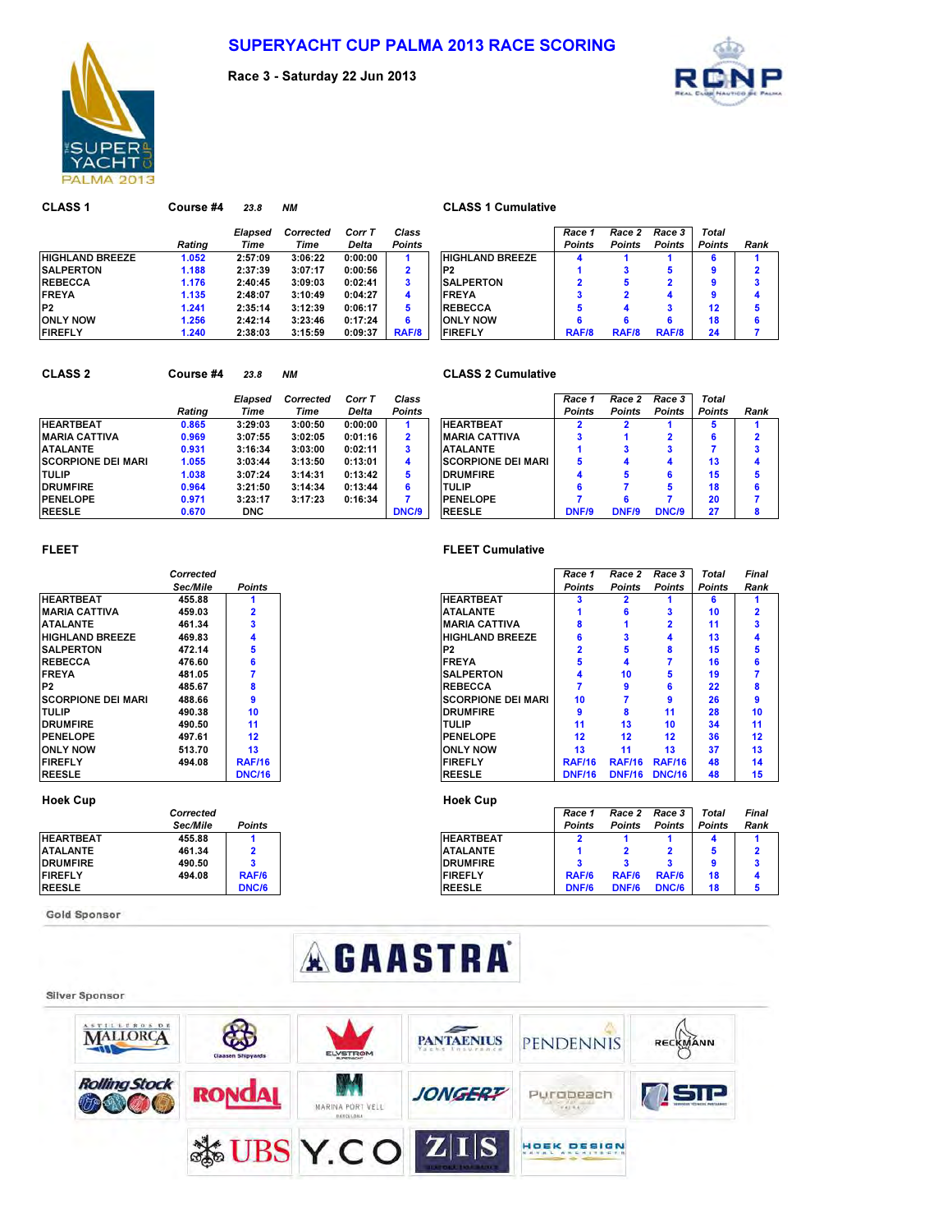

Race 3 - Saturday 22 Jun 2013



CLASS 1 Course #4 23.8 NM CLASS 1 Cumulative Elapsed Corrected Corr T Class Race 1 Race 2 Race 3 Total Rating Time Time Delta Points Points Points Points Points Rank HIGHLAND BREEZE 1.052 2:57:09 3:06:22 0:00:00 1 HIGHLAND BREEZE 4 1 1 6 1 SALPERTON 1.188 2:37:39 3:07:17 0:00:56 2 1 3 5 9 2 REBECCA 1.176 2:40:45 3:09:03 0:02:41 3 I SALPERTON 2 5 2 9 3 FREYA 1.135 2:48:07 3:10:49 0:04:27 4 FREYA 3 2 4 9 4 P2 1.241 2:35:14 3:12:39 0:06:17 5 5 4 3 12 5 ONLY NOW 1.256 2:42:14 3:23:46 0:17:24 6 6 6 6 18 6 FIREFLY 1.240 2:38:03 3:15:59 0:09:37 RAF/8 FIREFLY RAF/8 RAF/8 RAF/8 24 7

## CLASS 2 Course #4 23.8 NM CLASS 2 Cumulative

|                            |        | Elapsed    | Corrected | Corr T  | Class         |                           | Race 1        | Race 2        | Race 3        | <b>Total</b>  |     |
|----------------------------|--------|------------|-----------|---------|---------------|---------------------------|---------------|---------------|---------------|---------------|-----|
|                            | Rating | Time       | Time      | Delta   | <b>Points</b> |                           | <b>Points</b> | <b>Points</b> | <b>Points</b> | <b>Points</b> | Rai |
| <b>HEARTBEAT</b>           | 0.865  | 3:29:03    | 3:00:50   | 0:00:00 |               | <b>HEARTBEAT</b>          |               |               |               | Ð             |     |
| <b>IMARIA CATTIVA</b>      | 0.969  | 3:07:55    | 3:02:05   | 0:01:16 | 2             | <b>MARIA CATTIVA</b>      |               |               |               | 6             |     |
| <b>ATALANTE</b>            | 0.931  | 3:16:34    | 3:03:00   | 0:02:11 | 3             | <b>ATALANTE</b>           |               |               |               |               |     |
| <b>ISCORPIONE DEI MARI</b> | 1.055  | 3:03:44    | 3:13:50   | 0:13:01 | 4             | <b>SCORPIONE DEI MARI</b> | 5             |               |               | 13            |     |
| <b>TULIP</b>               | 1.038  | 3:07:24    | 3:14:31   | 0:13:42 | 5             | <b>DRUMFIRE</b>           |               |               | 6             | 15            |     |
| <b>DRUMFIRE</b>            | 0.964  | 3:21:50    | 3:14:34   | 0:13:44 | 6             | <b>TULIP</b>              |               |               | 5             | 18            |     |
| <b>PENELOPE</b>            | 0.971  | 3:23:17    | 3:17:23   | 0:16:34 |               | <b>PENELOPE</b>           |               |               |               | 20            |     |
| <b>REESLE</b>              | 0.670  | <b>DNC</b> |           |         | DNC/9         | <b>REESLE</b>             | DNF/9         | DNF/9         | DNC/9         | 27            |     |

| Ratina | Elapsed<br>Time | Corrected<br>Time | Corr T<br>Delta | Class<br><b>Points</b> |                           | Race 1<br><b>Points</b> | Race 2<br><b>Points</b> | Race 3<br><b>Points</b> | Total<br><b>Points</b> | Rank |
|--------|-----------------|-------------------|-----------------|------------------------|---------------------------|-------------------------|-------------------------|-------------------------|------------------------|------|
|        |                 |                   |                 |                        |                           |                         |                         |                         |                        |      |
| 0.865  | 3:29:03         | 3:00:50           | 0:00:00         |                        | <b>HEARTBEAT</b>          |                         |                         |                         | 5                      |      |
| 0.969  | 3:07:55         | 3:02:05           | 0:01:16         | $\mathbf{2}$           | <b>IMARIA CATTIVA</b>     |                         |                         |                         | 6                      |      |
| 0.931  | 3:16:34         | 3:03:00           | 0:02:11         | 3                      | <b>ATALANTE</b>           |                         |                         |                         |                        |      |
| 1.055  | 3:03:44         | 3:13:50           | 0:13:01         | 4                      | <b>SCORPIONE DEI MARI</b> | 5                       |                         | $\mathbf{a}$            | 13                     |      |
| 1.038  | 3:07:24         | 3:14:31           | 0:13:42         | 5                      | <b>DRUMFIRE</b>           | 4                       |                         |                         | 15                     |      |
| 0.964  | 3:21:50         | 3:14:34           | 0:13:44         | 6                      | <b>TULIP</b>              | 6                       |                         |                         | 18                     |      |
| 0.971  | 3:23:17         | 3:17:23           | 0:16:34         |                        | <b>PENELOPE</b>           |                         | 6                       |                         | 20                     |      |
| 0.670  | <b>DNC</b>      |                   |                 | DNC/9                  | <b>REESLE</b>             | <b>DNF/9</b>            | <b>DNF/9</b>            | DNC/9                   | 27                     |      |

|                           | Corrected       |                |  |
|---------------------------|-----------------|----------------|--|
|                           | <b>Sec/Mile</b> | <b>Points</b>  |  |
| <b>HFARTBFAT</b>          | 455.88          | 1              |  |
| <b>MARIA CATTIVA</b>      | 459.03          | $\overline{2}$ |  |
| <b>ATALANTE</b>           | 461.34          | 3              |  |
| <b>HIGHLAND BREEZE</b>    | 469.83          | 4              |  |
| <b>SALPERTON</b>          | 472.14          | 5              |  |
| <b>REBECCA</b>            | 476.60          | 6              |  |
| <b>FREYA</b>              | 481.05          | 7              |  |
| P <sub>2</sub>            | 485.67          | 8              |  |
| <b>SCORPIONE DEI MARI</b> | 488.66          | 9              |  |
| <b>TULIP</b>              | 490.38          | 10             |  |
| <b>DRUMFIRE</b>           | 490.50          | 11             |  |
| <b>PENELOPE</b>           | 497.61          | 12             |  |
| <b>ONLY NOW</b>           | 513.70          | 13             |  |
| <b>FIREFLY</b>            | 494.08          | <b>RAF/16</b>  |  |
| <b>REESLE</b>             |                 | <b>DNC/16</b>  |  |

### Hoek Cup **Hoek Cup**

|                  | Corrected |               |  |
|------------------|-----------|---------------|--|
|                  | Sec/Mile  | <b>Points</b> |  |
| <b>HEARTBEAT</b> | 455.88    |               |  |
| <b>ATALANTE</b>  | 461.34    | 2             |  |
| <b>DRUMFIRE</b>  | 490.50    | з             |  |
| <b>FIREFLY</b>   | 494.08    | <b>RAF/6</b>  |  |
| <b>REESLE</b>    |           | <b>DNC/6</b>  |  |

**Gold Sponsor** 

### FLEET FLEET Cumulative

|                           | Corrected |               |                           | Race 1        | Race 2        | Race 3         | <b>Total</b>  | <b>Final</b> |
|---------------------------|-----------|---------------|---------------------------|---------------|---------------|----------------|---------------|--------------|
|                           | Sec/Mile  | <b>Points</b> |                           | <b>Points</b> | <b>Points</b> | <b>Points</b>  | <b>Points</b> | Rank         |
| <b>HEARTBEAT</b>          | 455.88    |               | <b>HEARTBEAT</b>          |               |               |                |               |              |
| MARIA CATTIVA             | 459.03    |               | <b>ATALANTE</b>           |               | 6             | 3              | 10            |              |
| ATALANTE                  | 461.34    |               | <b>MARIA CATTIVA</b>      | 8             |               | $\overline{2}$ | 11            |              |
| <b>HIGHLAND BREEZE</b>    | 469.83    |               | <b>HIGHLAND BREEZE</b>    | 6             |               |                | 13            |              |
| <b>SALPERTON</b>          | 472.14    | 5             | P <sub>2</sub>            |               | 5             | 8              | 15            |              |
| <b>REBECCA</b>            | 476.60    |               | <b>FREYA</b>              | 5             | 4             |                | 16            |              |
| <b>FREYA</b>              | 481.05    |               | <b>SALPERTON</b>          |               | 10            | 5              | 19            |              |
| P2                        | 485.67    |               | <b>REBECCA</b>            |               | 9             | 6              | 22            |              |
| <b>SCORPIONE DEI MARI</b> | 488.66    |               | <b>SCORPIONE DEI MARI</b> | 10            |               | 9              | 26            |              |
| TULIP                     | 490.38    | 10            | <b>DRUMFIRE</b>           | 9             | 8             | 11             | 28            |              |
| <b>DRUMFIRE</b>           | 490.50    | 11            | <b>TULIP</b>              | 11            | 13            | 10             | 34            |              |
| <b>PENELOPE</b>           | 497.61    | 12            | PENELOPE                  | 12            | 12            | 12             | 36            |              |
| <b>ONLY NOW</b>           | 513.70    | 13            | <b>ONLY NOW</b>           | 13            | 11            | 13             | 37            |              |
| <b>FIREFLY</b>            | 494.08    | <b>RAF/16</b> | <b>FIREFLY</b>            | <b>RAF/16</b> | <b>RAF/16</b> | <b>RAF/16</b>  | 48            |              |
| REESLE                    |           | <b>DNC/16</b> | <b>REESLE</b>             | <b>DNF/16</b> | <b>DNF/16</b> | <b>DNC/16</b>  | 48            |              |

|                 | Corrected |               |                  | Race 1 | Race 2        | Race 3        | Total         | <b>Final</b> |
|-----------------|-----------|---------------|------------------|--------|---------------|---------------|---------------|--------------|
|                 | Sec/Mile  | <b>Points</b> |                  | Points | <b>Points</b> | <b>Points</b> | <b>Points</b> | Rank         |
| HEARTBEAT       | 455.88    |               | <b>HEARTBEAT</b> |        |               |               |               |              |
| ATALANTE        | 461.34    |               | <b>ATALANTE</b>  |        |               |               |               |              |
| <b>DRUMFIRE</b> | 490.50    |               | <b>DRUMFIRE</b>  |        |               |               |               |              |
| <b>FIREFLY</b>  | 494.08    | RAF/6         | <b>FIREFLY</b>   | RAF/6  | RAF/6         | RAF/6         | 18            |              |
| <b>REESLE</b>   |           | <b>DNC/6</b>  | <b>REESLE</b>    | DNF/6  | DNF/6         | DNC/6         | 18            |              |

# **AGAASTRA**

### **Silver Sponsor**

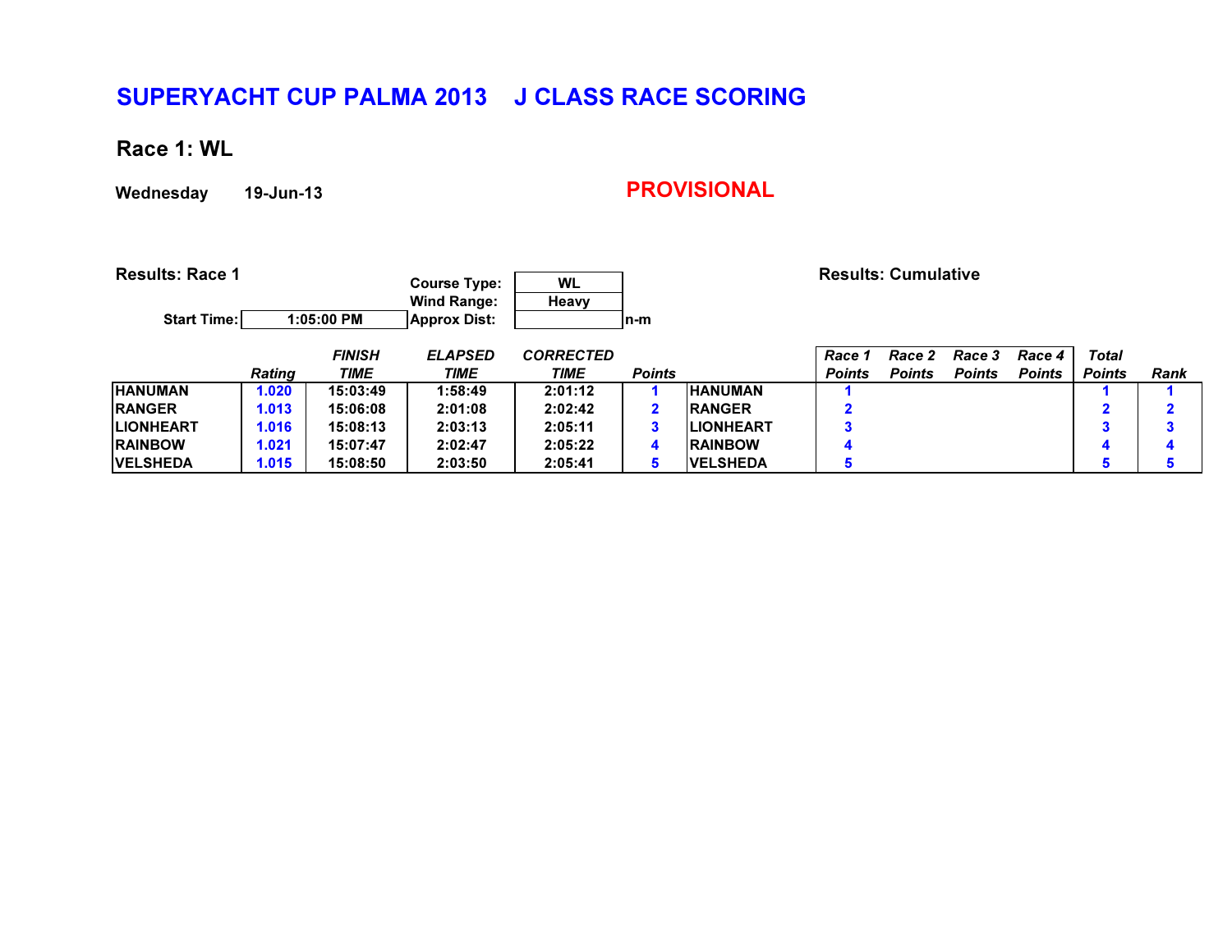Race 1: WL

Wednesday 19-Jun-13

| <b>Results: Race 1</b> |               |               | <b>Course Type:</b><br><b>Wind Range:</b> | <b>WL</b><br>Heavy |               |                   |               | <b>Results: Cumulative</b> |               |               |               |             |
|------------------------|---------------|---------------|-------------------------------------------|--------------------|---------------|-------------------|---------------|----------------------------|---------------|---------------|---------------|-------------|
| <b>Start Time:</b>     |               | 1:05:00 PM    | <b>Approx Dist:</b>                       |                    | In-m          |                   |               |                            |               |               |               |             |
|                        |               | <b>FINISH</b> | <b>ELAPSED</b>                            | <b>CORRECTED</b>   |               |                   | Race 1        | Race 2                     | <b>Race 3</b> | Race 4        | Total         |             |
|                        | <b>Rating</b> | <b>TIME</b>   | <b>TIME</b>                               | TIME               | <b>Points</b> |                   | <b>Points</b> | <b>Points</b>              | <b>Points</b> | <b>Points</b> | <b>Points</b> | <b>Rank</b> |
| <b>HANUMAN</b>         | 1.020         | 15:03:49      | 1:58:49                                   | 2:01:12            |               | <b>HANUMAN</b>    |               |                            |               |               |               |             |
| <b>RANGER</b>          | 1.013         | 15:06:08      | 2:01:08                                   | 2:02:42            |               | <b>RANGER</b>     | 2             |                            |               |               | $\mathbf{2}$  |             |
| <b>ILIONHEART</b>      | 1.016         | 15:08:13      | 2:03:13                                   | 2:05:11            | 3             | <b>ILIONHEART</b> | 3             |                            |               |               | 3             |             |
| <b>RAINBOW</b>         | 1.021         | 15:07:47      | 2:02:47                                   | 2:05:22            | 4             | <b>RAINBOW</b>    | 4             |                            |               |               | 4             |             |
| <b>IVELSHEDA</b>       | 1.015         | 15:08:50      | 2:03:50                                   | 2:05:41            | 5             | <b>IVELSHEDA</b>  | 5             |                            |               |               |               |             |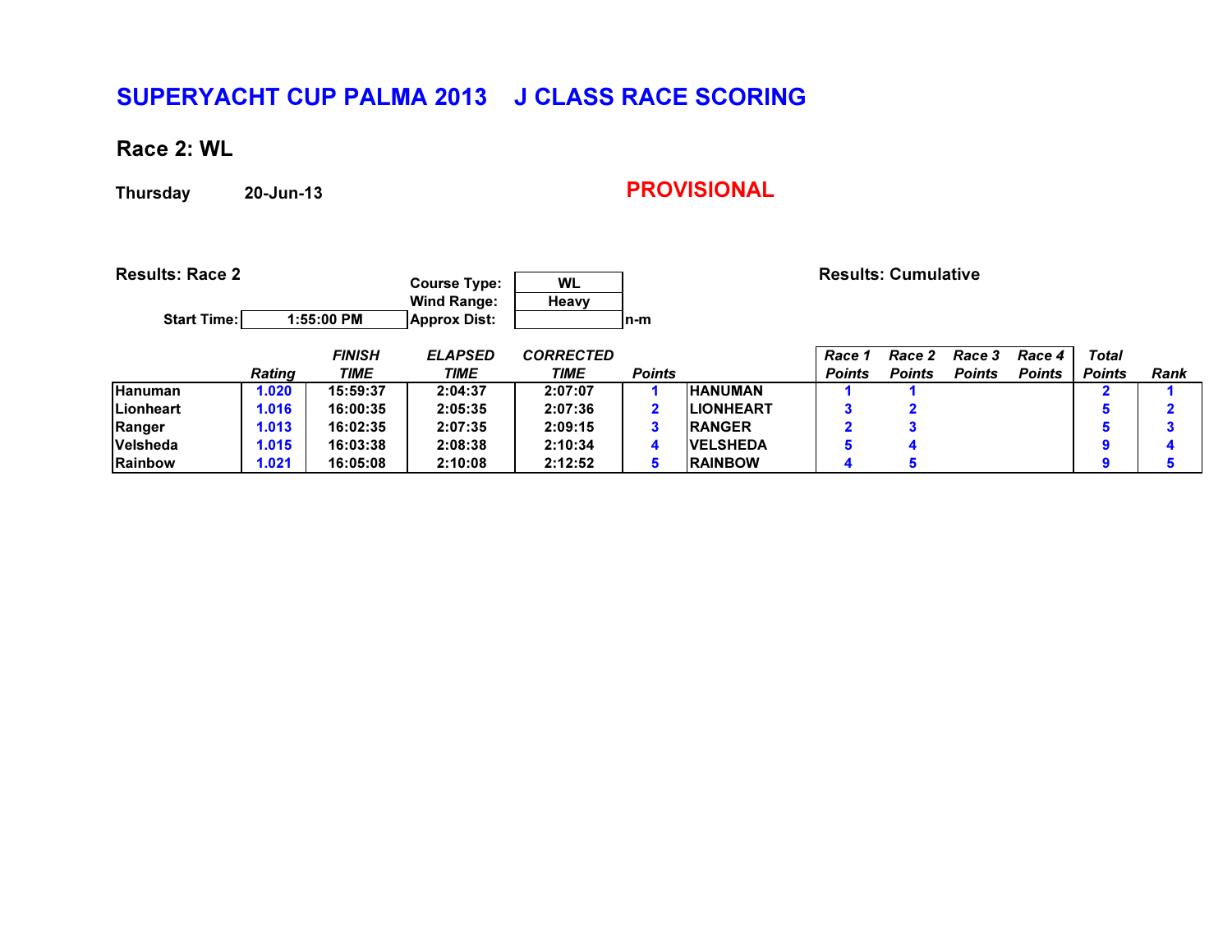## Race 2: WL

Thursday20-Jun-13

| <b>Results: Race 2</b><br><b>Start Time:</b> |               | 1:55:00 PM                   | <b>Course Type:</b><br><b>Wind Range:</b><br><b>Approx Dist:</b> | <b>WL</b><br>Heavy       | In-m          |                  |                         | <b>Results: Cumulative</b> |                                |                         |                               |             |
|----------------------------------------------|---------------|------------------------------|------------------------------------------------------------------|--------------------------|---------------|------------------|-------------------------|----------------------------|--------------------------------|-------------------------|-------------------------------|-------------|
|                                              |               | <b>FINISH</b><br><b>TIME</b> | <b>ELAPSED</b><br><b>TIME</b>                                    | <b>CORRECTED</b><br>TIME | <b>Points</b> |                  | Race 1<br><b>Points</b> | Race<br><b>Points</b>      | <b>Race 3</b><br><b>Points</b> | Race 4<br><b>Points</b> | <b>Total</b><br><b>Points</b> | <b>Rank</b> |
|                                              | <b>Rating</b> |                              |                                                                  |                          |               |                  |                         |                            |                                |                         |                               |             |
| Hanuman                                      | 1.020         | 15:59:37                     | 2:04:37                                                          | 2:07:07                  |               | <b>HANUMAN</b>   |                         |                            |                                |                         |                               |             |
| <b>Lionheart</b>                             | 1.016         | 16:00:35                     | 2:05:35                                                          | 2:07:36                  |               | <b>LIONHEART</b> |                         |                            |                                |                         | 5                             | О.          |
| Ranger                                       | 1.013         | 16:02:35                     | 2:07:35                                                          | 2:09:15                  | 3             | <b>RANGER</b>    | $\overline{\mathbf{2}}$ |                            |                                |                         | 5                             | 2           |
| Velsheda                                     | 1.015         | 16:03:38                     | 2:08:38                                                          | 2:10:34                  | 4             | <b>VELSHEDA</b>  | 5                       | 4                          |                                |                         | 9                             | 4           |
| Rainbow                                      | 1.021         | 16:05:08                     | 2:10:08                                                          | 2:12:52                  | 5             | <b>RAINBOW</b>   | 4                       | 5                          |                                |                         | Ω                             |             |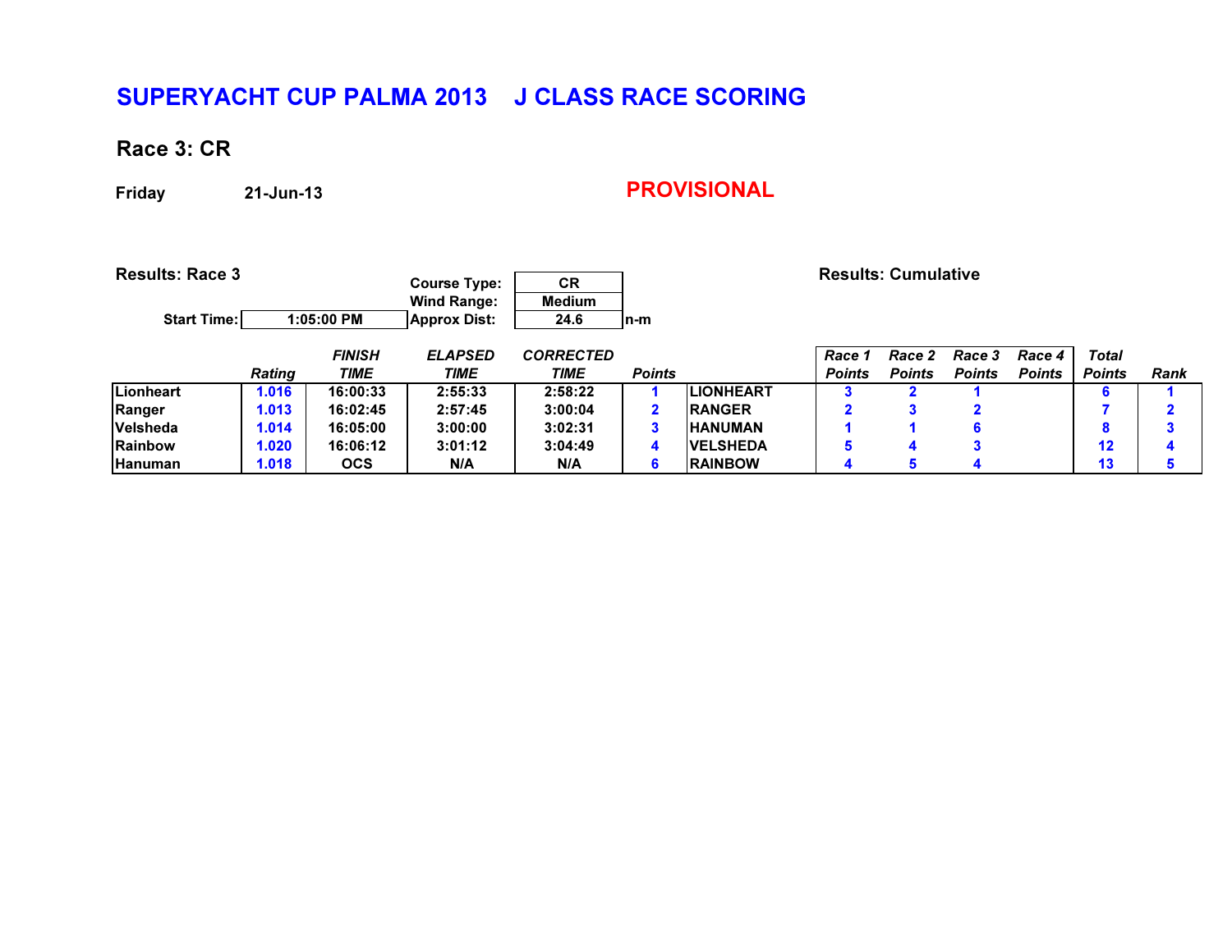## Race 3: CR

Friday

21-Jun-13

| <b>Results: Race 3</b><br><b>Start Time:</b> |               | 1:05:00 PM    | <b>Course Type:</b><br><b>Wind Range:</b><br><b>Approx Dist:</b> | <b>CR</b><br><b>Medium</b><br>24.6 | $n-m$         |                  |               | <b>Results: Cumulative</b> |               |               |                 |             |
|----------------------------------------------|---------------|---------------|------------------------------------------------------------------|------------------------------------|---------------|------------------|---------------|----------------------------|---------------|---------------|-----------------|-------------|
|                                              |               | <b>FINISH</b> | <b>ELAPSED</b>                                                   | <b>CORRECTED</b>                   |               |                  | Race 1        | Race<br>2                  | Race 3        | Race 4        | <b>Total</b>    |             |
|                                              | <b>Rating</b> | <b>TIME</b>   | <b>TIME</b>                                                      | TIME                               | <b>Points</b> |                  | <b>Points</b> | <b>Points</b>              | <b>Points</b> | <b>Points</b> | <b>Points</b>   | <b>Rank</b> |
| Lionheart                                    | 1.016         | 16:00:33      | 2:55:33                                                          | 2:58:22                            |               | <b>LIONHEART</b> | 3             |                            |               |               | 6               |             |
| Ranger                                       | 1.013         | 16:02:45      | 2:57:45                                                          | 3:00:04                            |               | <b>RANGER</b>    | $\mathbf{2}$  |                            |               |               |                 | ゥ           |
| Velsheda                                     | 1.014         | 16:05:00      | 3:00:00                                                          | 3:02:31                            | 3             | <b>HANUMAN</b>   |               |                            | 6             |               | 8               | 3           |
| Rainbow                                      | 1.020         | 16:06:12      | 3:01:12                                                          | 3:04:49                            | 4             | <b>VELSHEDA</b>  | 5             | 4                          |               |               | 12 <sup>2</sup> | 4           |
| Hanuman                                      | 1.018         | <b>OCS</b>    | N/A                                                              | N/A                                | 6             | <b>RAINBOW</b>   | 4             | 5                          |               |               | 13              | 5           |